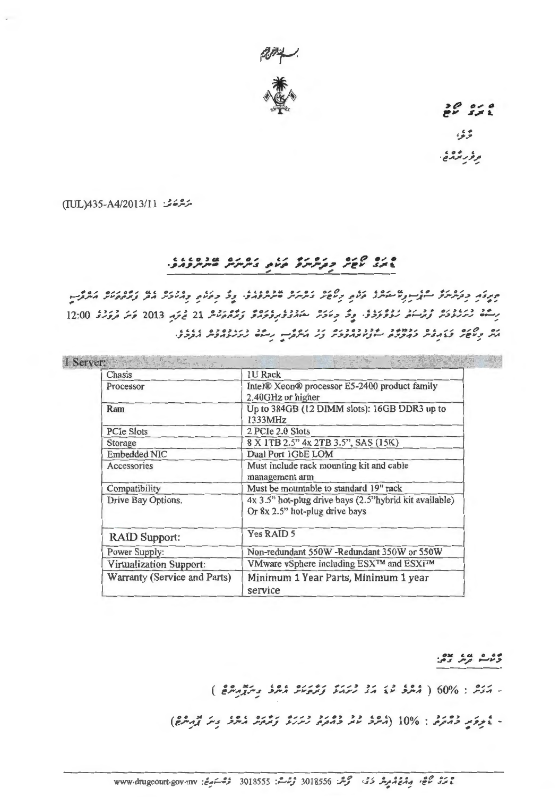

 $22.312$ 

وثوء وفر بروي.

ىر 25.44/2013/11) (IUL)435-A4

## $312222$  come sing sing same.

رِسْمَة رُىرْرُوْدَرْ وْمِْسَمْ رْوْوْتْرَوْدْ. وِدْ دِيَادَرْ بْعَامْ دْوْتْرْوْتْرْدْ 20 وْتْرْدْدْ 2013 قْسَ فْرْقَرْدْ 12:00 הת כלשת כל הלת כרובבים מונוחופכת צל התלון ניילה ונונוסות הוגול.

| Chasis                              | 1U Rack                                                                                   |
|-------------------------------------|-------------------------------------------------------------------------------------------|
| Processor                           | Intel® Xeon® processor E5-2400 product family<br>2.40GHz or higher                        |
| Ram                                 | Up to 384GB (12 DIMM slots): 16GB DDR3 up to<br>1333MHz                                   |
| <b>PCIe Slots</b>                   | 2 PCIe 2.0 Slots                                                                          |
| Storage                             | 8 X 1TB 2.5" 4x 2TB 3.5", SAS (15K)                                                       |
| <b>Embedded NIC</b>                 | Dual Port 1GbE LOM                                                                        |
| Accessories                         | Must include rack mounting kit and cable<br>management arm                                |
| Compatibility                       | Must be mountable to standard 19" rack                                                    |
| Drive Bay Options.                  | 4x 3.5" hot-plug drive bays (2.5" hybrid kit available)<br>Or 8x 2.5" hot-plug drive bays |
| <b>RAID Support:</b>                | Yes RAID 5                                                                                |
| Power Supply:                       | Non-redundant 550W -Redundant 350W or 550W                                                |
| Virtualization Support:             | VMware vSphere including ESX™ and ESXi™                                                   |
| <b>Warranty (Service and Parts)</b> | Minimum 1 Year Parts, Minimum 1 year<br>service                                           |

 $\frac{3x}{x^2}$   $\frac{2x}{x}$   $\frac{3x}{x^2}$ 

 $\left(\begin{array}{cc} \frac{2}{5} & \frac{2}{5} & \frac{2}{5} \end{array}\right)$  . المستقل المستقل المستقل المستقل المستقل المستقل المستقل المستقل المستقل المستقل المستقل المستقل المستقل المستقل المستقل المستقل المستقل المستقل المستقل المستقل المستقل المستقل

- غُوِوَمٍ دُمْكَرُهُ : 10% (مُمْرَدُ عَمْدُ دُمْكَرَةٌ رُتَرَتَزٌ وَمُرْمَرٌ مُمْرَدٌ مِنْ قَرْمِيْنٌ )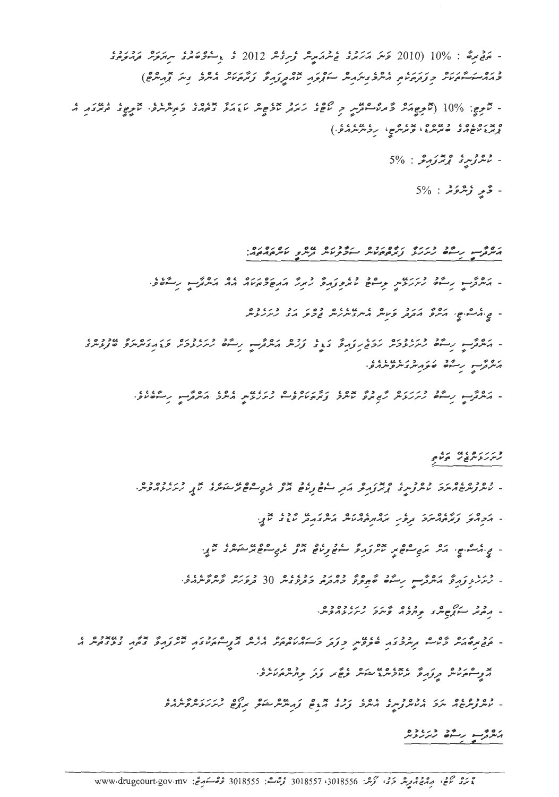- مَهْ مِرَةَ : 10% (2010 قَرَّمَ مَرَكْرُوْ فَإِيْرُمْ مِنْ 2012 وَ الْإِيمَاءُ سِيرْمَوْرْ فَرْمَ وَدْ وروسكون و درمام مترويترمير سوريد بعد روم ديمين ميرد ويركي من الم

- ציפש: 10% (ציפאל אינטי- 200 יוני צו מיני 100 יוני 100 לאומים ויוני די מיני ויוני ויוני די מיני ויוני ויוני ו<br>- ציפש: 10% (צופשאל אינטי- ויוני די קודו לאומי לאומי לאומי באיני לאומיקלי לקופי הוא מיני ויוני לאומי 

 $5\%$  : پرزمون کا 5% .

 $5\%$  : دُمٍ زُعْرَفَعْر : 5%

ره و در دود در رو روه روه درود در به در در در در در داده.<br>پرسروس رسته در روز ویروه دس ساوتوماس وسرو مسروره وی. - مگر می در منتشر در دست در در در مردم در در در محمد منتشر در منتشر در منتشر در منتشر در منتشر در منتشر در منت رە بە بەلگە ئەر دىر بەيدە

و ر ر ر ه ع عد ر ع<br>ر سر ر بر سر ه می موجو

- - הקהק ניתונים היה ניתונים הים הסיה מיירות של בין.<br>- הקהק ניתונים הייתונים המתחיית הייתונים של שלי
	- می درستور می درست می ده برای درست در ده در می درستور برای در ده بازد.<br>- می درستور می درست می برابر در می سوم برنام امرار مربی سوم بر شویس در سال
	- ژىژنو زېرق پهرتر په په ده په وقو د د ده د دوول 30 دروره ویرونده.
		- הפת הקסת בתכה ליני בנוכסים.<br>- הפת הקסת בתכה לינכ ניננגוסט.
- ו כ זיום זים בני נודד ו ליולי מודעות היו נודד ומודעות מודעות היו מודעות מודעות בין המודעות ויולי היו המודעות ו<br>- הניווני ביו ביו בין היו היו מיניק בין בין היו היו היו הנייה ויו בין ויו נוקד ביניה ביני בין היו היו בין בין
	- כסכס אם היו אבסכנים אבטי וכל אבים ון מיתיות בעיקר וקספים ביוונים לילים.<br>- מיות ניוניים את יותכ ומיות ניווניים ולקספים ואבים ונות באבים ומיות ליינוק ליינוק ביות הפ

וסמ<sub>ק ו</sub>ם ניגועים ואינגעים.<br>היינקיים וניידים ואינגעים